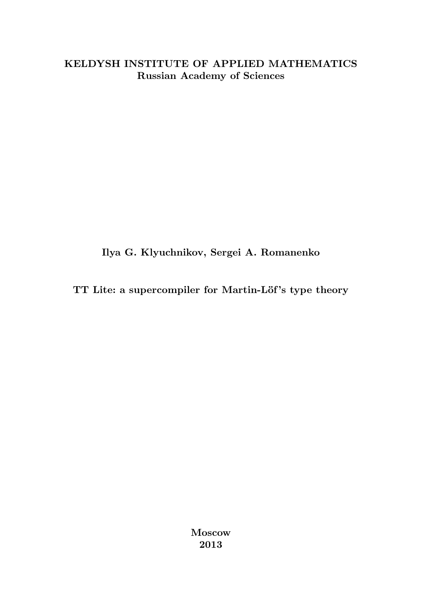### KELDYSH INSTITUTE OF APPLIED MATHEMATICS Russian Academy of Sciences

Ilya G. Klyuchnikov, Sergei A. Romanenko

TT Lite: a supercompiler for Martin-Löf's type theory

Moscow 2013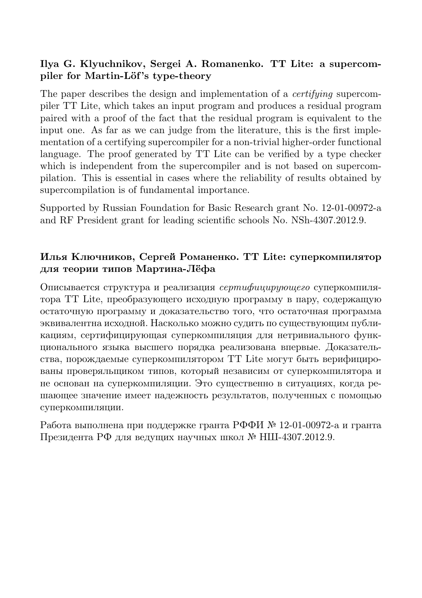### Ilya G. Klyuchnikov, Sergei A. Romanenko. TT Lite: a supercompiler for Martin-Löf's type-theory

The paper describes the design and implementation of a *certifying* supercompiler TT Lite, which takes an input program and produces a residual program paired with a proof of the fact that the residual program is equivalent to the input one. As far as we can judge from the literature, this is the first implementation of a certifying supercompiler for a non-trivial higher-order functional language. The proof generated by TT Lite can be verified by a type checker which is independent from the supercompiler and is not based on supercompilation. This is essential in cases where the reliability of results obtained by supercompilation is of fundamental importance.

Supported by Russian Foundation for Basic Research grant No. 12-01-00972-a and RF President grant for leading scientific schools No. NSh-4307.2012.9.

### Илья Ключников, Сергей Романенко. TT Lite: суперкомпилятор для теории типов Мартина-Лёфа

Описывается структура и реализация сертифицирующего суперкомпилятора TT Lite, преобразующего исходную программу в пару, содержащую остаточную программу и доказательство того, что остаточная программа эквивалентна исходной. Насколько можно судить по существующим публикациям, сертифицирующая суперкомпиляция для нетривиального функционального языка высшего порядка реализована впервые. Доказательства, порождаемые суперкомпилятором TT Lite могут быть верифицированы проверяльщиком типов, который независим от суперкомпилятора и не основан на суперкомпиляции. Это существенно в ситуациях, когда решающее значение имеет надежность результатов, полученных с помощью суперкомпиляции.

Работа выполнена при поддержке гранта РФФИ № 12-01-00972-a и гранта Президента РФ для ведущих научных школ № НШ-4307.2012.9.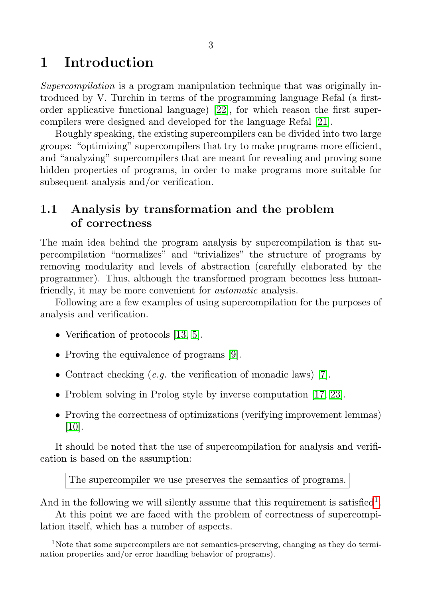# 1 Introduction

Supercompilation is a program manipulation technique that was originally introduced by V. Turchin in terms of the programming language Refal (a firstorder applicative functional language) [\[22\]](#page-17-0), for which reason the first supercompilers were designed and developed for the language Refal [\[21\]](#page-17-1).

Roughly speaking, the existing supercompilers can be divided into two large groups: "optimizing" supercompilers that try to make programs more efficient, and "analyzing" supercompilers that are meant for revealing and proving some hidden properties of programs, in order to make programs more suitable for subsequent analysis and/or verification.

### 1.1 Analysis by transformation and the problem of correctness

The main idea behind the program analysis by supercompilation is that supercompilation "normalizes" and "trivializes" the structure of programs by removing modularity and levels of abstraction (carefully elaborated by the programmer). Thus, although the transformed program becomes less humanfriendly, it may be more convenient for automatic analysis.

Following are a few examples of using supercompilation for the purposes of analysis and verification.

- ∙ Verification of protocols [\[13,](#page-17-2) [5\]](#page-16-0).
- ∙ Proving the equivalence of programs [\[9\]](#page-16-1).
- ∙ Contract checking (e.g. the verification of monadic laws) [\[7\]](#page-16-2).
- ∙ Problem solving in Prolog style by inverse computation [\[17,](#page-17-3) [23\]](#page-17-4).
- ∙ Proving the correctness of optimizations (verifying improvement lemmas)  $[10]$ .

It should be noted that the use of supercompilation for analysis and verification is based on the assumption:

The supercompiler we use preserves the semantics of programs.

And in the following we will silently assume that this requirement is satisfied<sup>[1](#page-2-0)</sup>.

At this point we are faced with the problem of correctness of supercompilation itself, which has a number of aspects.

<span id="page-2-0"></span><sup>1</sup>Note that some supercompilers are not semantics-preserving, changing as they do termination properties and/or error handling behavior of programs).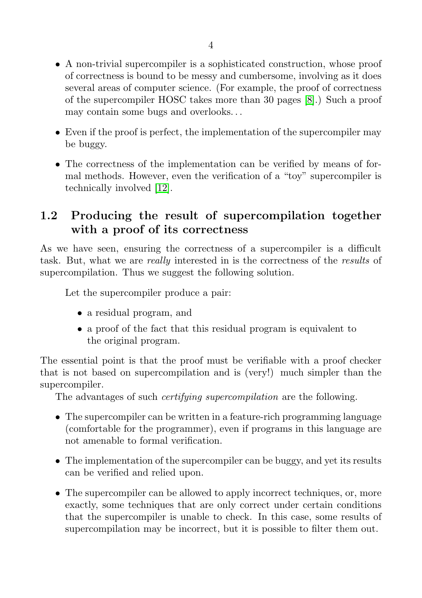- ∙ A non-trivial supercompiler is a sophisticated construction, whose proof of correctness is bound to be messy and cumbersome, involving as it does several areas of computer science. (For example, the proof of correctness of the supercompiler HOSC takes more than 30 pages [\[8\]](#page-16-4).) Such a proof may contain some bugs and overlooks. . .
- ∙ Even if the proof is perfect, the implementation of the supercompiler may be buggy.
- ∙ The correctness of the implementation can be verified by means of formal methods. However, even the verification of a "toy" supercompiler is technically involved [\[12\]](#page-17-5).

### 1.2 Producing the result of supercompilation together with a proof of its correctness

As we have seen, ensuring the correctness of a supercompiler is a difficult task. But, what we are really interested in is the correctness of the results of supercompilation. Thus we suggest the following solution.

Let the supercompiler produce a pair:

- ∙ a residual program, and
- ∙ a proof of the fact that this residual program is equivalent to the original program.

The essential point is that the proof must be verifiable with a proof checker that is not based on supercompilation and is (very!) much simpler than the supercompiler.

The advantages of such certifying supercompilation are the following.

- ∙ The supercompiler can be written in a feature-rich programming language (comfortable for the programmer), even if programs in this language are not amenable to formal verification.
- ∙ The implementation of the supercompiler can be buggy, and yet its results can be verified and relied upon.
- ∙ The supercompiler can be allowed to apply incorrect techniques, or, more exactly, some techniques that are only correct under certain conditions that the supercompiler is unable to check. In this case, some results of supercompilation may be incorrect, but it is possible to filter them out.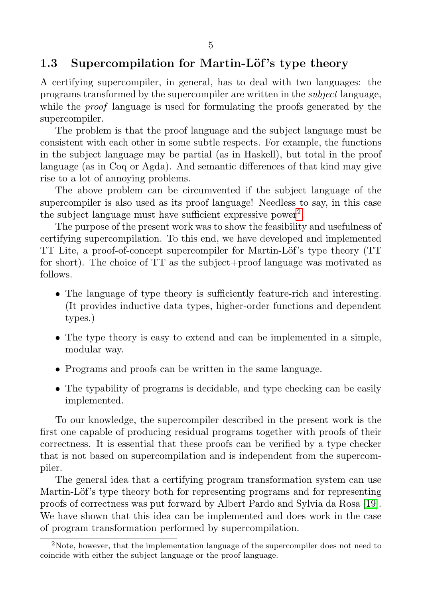### 1.3 Supercompilation for Martin-Löf's type theory

A certifying supercompiler, in general, has to deal with two languages: the programs transformed by the supercompiler are written in the subject language, while the *proof* language is used for formulating the proofs generated by the supercompiler.

The problem is that the proof language and the subject language must be consistent with each other in some subtle respects. For example, the functions in the subject language may be partial (as in Haskell), but total in the proof language (as in Coq or Agda). And semantic differences of that kind may give rise to a lot of annoying problems.

The above problem can be circumvented if the subject language of the supercompiler is also used as its proof language! Needless to say, in this case the subject language must have sufficient expressive power<sup>[2](#page-4-0)</sup>.

The purpose of the present work was to show the feasibility and usefulness of certifying supercompilation. To this end, we have developed and implemented TT Lite, a proof-of-concept supercompiler for Martin-Löf's type theory (TT) for short). The choice of TT as the subject+proof language was motivated as follows.

- ∙ The language of type theory is sufficiently feature-rich and interesting. (It provides inductive data types, higher-order functions and dependent types.)
- ∙ The type theory is easy to extend and can be implemented in a simple, modular way.
- ∙ Programs and proofs can be written in the same language.
- ∙ The typability of programs is decidable, and type checking can be easily implemented.

To our knowledge, the supercompiler described in the present work is the first one capable of producing residual programs together with proofs of their correctness. It is essential that these proofs can be verified by a type checker that is not based on supercompilation and is independent from the supercompiler.

The general idea that a certifying program transformation system can use Martin-Löf's type theory both for representing programs and for representing proofs of correctness was put forward by Albert Pardo and Sylvia da Rosa [\[19\]](#page-17-6). We have shown that this idea can be implemented and does work in the case of program transformation performed by supercompilation.

<span id="page-4-0"></span><sup>2</sup>Note, however, that the implementation language of the supercompiler does not need to coincide with either the subject language or the proof language.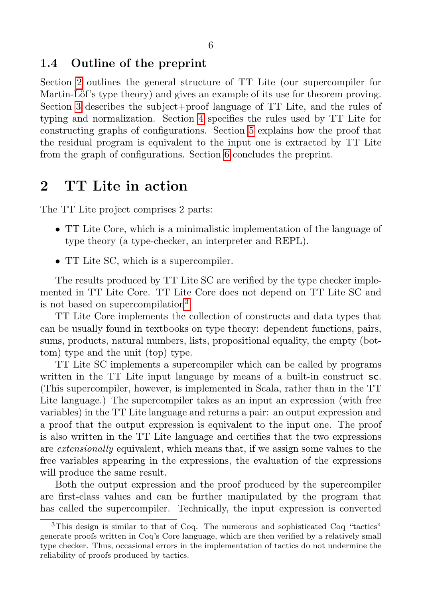#### 1.4 Outline of the preprint

Section [2](#page-5-0) outlines the general structure of TT Lite (our supercompiler for Martin-Löf's type theory) and gives an example of its use for theorem proving. Section [3](#page-7-0) describes the subject+proof language of TT Lite, and the rules of typing and normalization. Section [4](#page-9-0) specifies the rules used by TT Lite for constructing graphs of configurations. Section [5](#page-14-0) explains how the proof that the residual program is equivalent to the input one is extracted by TT Lite from the graph of configurations. Section [6](#page-15-0) concludes the preprint.

# <span id="page-5-0"></span>2 TT Lite in action

The TT Lite project comprises 2 parts:

- ∙ TT Lite Core, which is a minimalistic implementation of the language of type theory (a type-checker, an interpreter and REPL).
- ∙ TT Lite SC, which is a supercompiler.

The results produced by TT Lite SC are verified by the type checker implemented in TT Lite Core. TT Lite Core does not depend on TT Lite SC and is not based on supercompilation<sup>[3](#page-5-1)</sup>.

TT Lite Core implements the collection of constructs and data types that can be usually found in textbooks on type theory: dependent functions, pairs, sums, products, natural numbers, lists, propositional equality, the empty (bottom) type and the unit (top) type.

TT Lite SC implements a supercompiler which can be called by programs written in the TT Lite input language by means of a built-in construct sc. (This supercompiler, however, is implemented in Scala, rather than in the TT Lite language.) The supercompiler takes as an input an expression (with free variables) in the TT Lite language and returns a pair: an output expression and a proof that the output expression is equivalent to the input one. The proof is also written in the TT Lite language and certifies that the two expressions are extensionally equivalent, which means that, if we assign some values to the free variables appearing in the expressions, the evaluation of the expressions will produce the same result.

Both the output expression and the proof produced by the supercompiler are first-class values and can be further manipulated by the program that has called the supercompiler. Technically, the input expression is converted

<span id="page-5-1"></span><sup>&</sup>lt;sup>3</sup>This design is similar to that of Coq. The numerous and sophisticated Coq "tactics" generate proofs written in Coq's Core language, which are then verified by a relatively small type checker. Thus, occasional errors in the implementation of tactics do not undermine the reliability of proofs produced by tactics.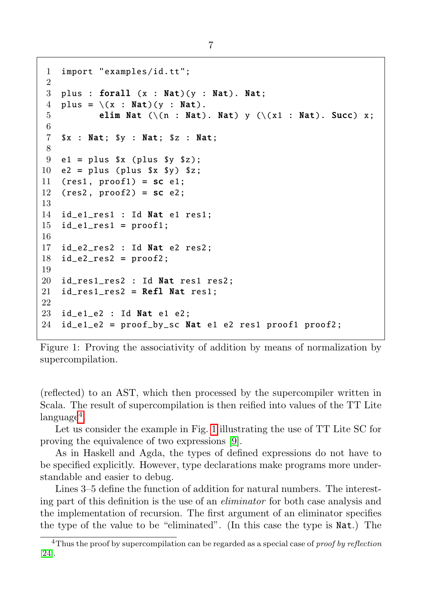```
1 import "examples/id.tt";
 2
 3 plus : forall (x : Nat)(y : Nat). Nat;
 4 plus = \langle x : Nat \rangle(y : Nat).
 5 elim Nat (\n\cdot \mathbf{Nat}). Nat) y (\n\cdot \mathbf{Nat}). Succ) x;
 6
 7 $x : Nat; $y : Nat; $z : Nat;
 8
9 e1 = plus x (plus y z);
10 e2 = plus (plus x \sqrt{y}) z;
11 (res1, proof1) = sc e1;
12 (res2, proof2) = sc e2:
13
14 id_e1_res1 : Id Nat e1 res1;
15 id_e1_res1 = proof1;
16
17 id_e2_res2 : Id Nat e2 res2;
18 id_e2_res2 = proof2;
19
20 id_res1_res2 : Id Nat res1 res2;
21 id_res1_res2 = Ref1 Nat res1;
22
23 id_e1_e2 : Id Nat e1 e2;
24 id_e1_e2 = proof_by_sc Nat e1 e2 res1 proof1 proof2;
```
Figure 1: Proving the associativity of addition by means of normalization by supercompilation.

(reflected) to an AST, which then processed by the supercompiler written in Scala. The result of supercompilation is then reified into values of the TT Lite  $\rm language^4.$  $\rm language^4.$  $\rm language^4.$ 

Let us consider the example in Fig. [1](#page-6-1) illustrating the use of TT Lite SC for proving the equivalence of two expressions [\[9\]](#page-16-1).

As in Haskell and Agda, the types of defined expressions do not have to be specified explicitly. However, type declarations make programs more understandable and easier to debug.

Lines 3–5 define the function of addition for natural numbers. The interesting part of this definition is the use of an eliminator for both case analysis and the implementation of recursion. The first argument of an eliminator specifies the type of the value to be "eliminated". (In this case the type is Nat.) The

<span id="page-6-0"></span><sup>&</sup>lt;sup>4</sup>Thus the proof by supercompilation can be regarded as a special case of *proof by reflection* [\[24\]](#page-17-7).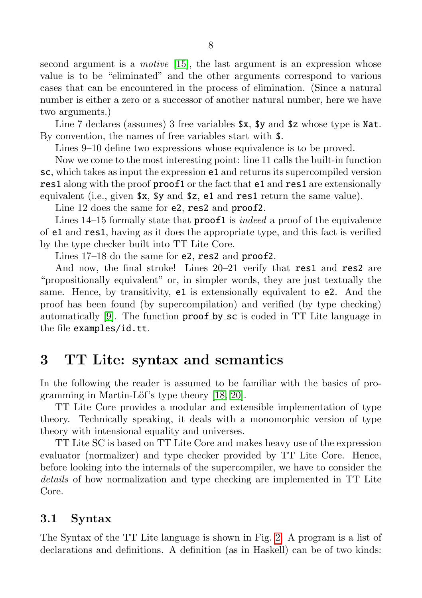second argument is a motive [\[15\]](#page-17-8), the last argument is an expression whose value is to be "eliminated" and the other arguments correspond to various cases that can be encountered in the process of elimination. (Since a natural number is either a zero or a successor of another natural number, here we have two arguments.)

Line 7 declares (assumes) 3 free variables  $x, y$  and  $z$  whose type is Nat. By convention, the names of free variables start with \$.

Lines 9–10 define two expressions whose equivalence is to be proved.

Now we come to the most interesting point: line 11 calls the built-in function sc, which takes as input the expression e1 and returns its supercompiled version res1 along with the proof proof1 or the fact that e1 and res1 are extensionally equivalent (i.e., given  $x, \ y$  and  $z, e1$  and res1 return the same value).

Line 12 does the same for e2, res2 and proof2.

Lines 14–15 formally state that **proof1** is *indeed* a proof of the equivalence of e1 and res1, having as it does the appropriate type, and this fact is verified by the type checker built into TT Lite Core.

Lines 17–18 do the same for e2, res2 and proof2.

And now, the final stroke! Lines 20–21 verify that res1 and res2 are "propositionally equivalent" or, in simpler words, they are just textually the same. Hence, by transitivity, e1 is extensionally equivalent to e2. And the proof has been found (by supercompilation) and verified (by type checking) automatically  $[9]$ . The function **proof by sc** is coded in TT Lite language in the file examples/id.tt.

# <span id="page-7-0"></span>3 TT Lite: syntax and semantics

In the following the reader is assumed to be familiar with the basics of programming in Martin-Löf's type theory  $[18, 20]$  $[18, 20]$ .

TT Lite Core provides a modular and extensible implementation of type theory. Technically speaking, it deals with a monomorphic version of type theory with intensional equality and universes.

TT Lite SC is based on TT Lite Core and makes heavy use of the expression evaluator (normalizer) and type checker provided by TT Lite Core. Hence, before looking into the internals of the supercompiler, we have to consider the details of how normalization and type checking are implemented in TT Lite Core.

#### 3.1 Syntax

The Syntax of the TT Lite language is shown in Fig. [2.](#page-8-0) A program is a list of declarations and definitions. A definition (as in Haskell) can be of two kinds: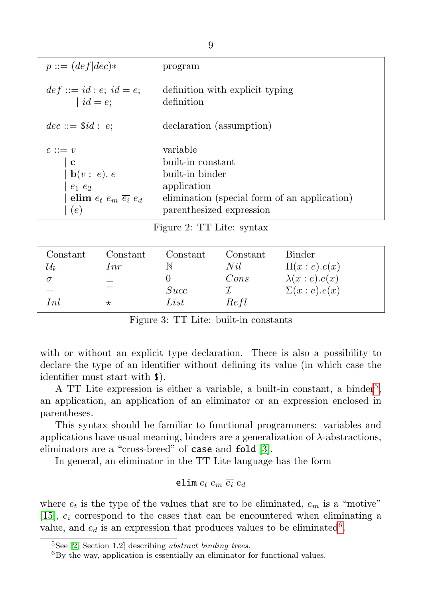<span id="page-8-0"></span>

| $p ::= (def dec)*$                                                                                                                        | program                                                                                                                                     |
|-------------------------------------------------------------------------------------------------------------------------------------------|---------------------------------------------------------------------------------------------------------------------------------------------|
| $def ::= id : e; id = e;$<br>$\mid id = e;$                                                                                               | definition with explicit typing<br>definition                                                                                               |
| $dec ::= \$id : e$                                                                                                                        | declaration (assumption)                                                                                                                    |
| $e ::= v$<br>$\mid c$<br>$\vert \mathbf{b}(v : e) . e \vert$<br>$\vert e_1 e_2 \vert$<br>  elim $e_t$ $e_m$ $\overline{e_i}$ $e_d$<br>(e) | variable<br>built-in constant<br>built-in binder<br>application<br>elimination (special form of an application)<br>parenthesized expression |

Figure 2: TT Lite: syntax

<span id="page-8-3"></span>

| Constant<br>$\mathcal{U}_k$ | Constant<br>$_{lnr}$ | Constant<br>N | Constant<br>Nil | <b>Binder</b><br>$\Pi(x : e) . e(x)$ |
|-----------------------------|----------------------|---------------|-----------------|--------------------------------------|
| $\sigma$                    |                      |               | Cons            | $\lambda(x : e) . e(x)$              |
|                             |                      | Succ          |                 | $\Sigma(x : e) . e(x)$               |
| Inl                         |                      | List          | Re fl           |                                      |

Figure 3: TT Lite: built-in constants

with or without an explicit type declaration. There is also a possibility to declare the type of an identifier without defining its value (in which case the identifier must start with \$).

A TT Lite expression is either a variable, a built-in constant, a binder<sup>[5](#page-8-1)</sup>, an application, an application of an eliminator or an expression enclosed in parentheses.

This syntax should be familiar to functional programmers: variables and applications have usual meaning, binders are a generalization of  $\lambda$ -abstractions, eliminators are a "cross-breed" of case and fold [\[3\]](#page-16-5).

In general, an eliminator in the TT Lite language has the form

$$
\verb"elim"\,e_t\,e_m\,\overline{e_i}\,e_d
$$

where  $e_t$  is the type of the values that are to be eliminated,  $e_m$  is a "motive" [\[15\]](#page-17-8),  $e_i$  correspond to the cases that can be encountered when eliminating a value, and  $e_d$  is an expression that produces values to be eliminated<sup>[6](#page-8-2)</sup>.

<span id="page-8-1"></span> $5$ See [\[2,](#page-16-6) Section 1.2] describing *abstract binding trees.* 

<span id="page-8-2"></span> ${}^{6}$ By the way, application is essentially an eliminator for functional values.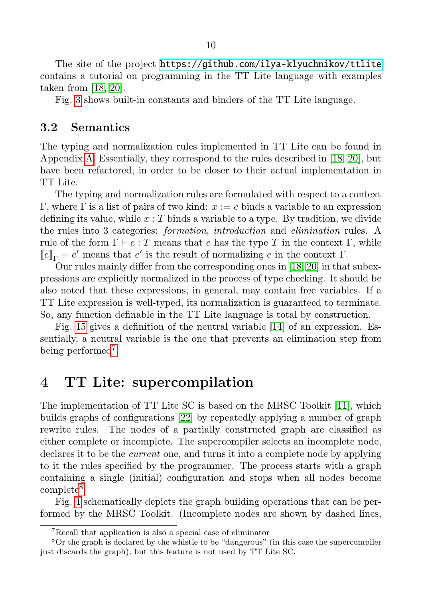The site of the project <https://github.com/ilya-klyuchnikov/ttlite> contains a tutorial on programming in the TT Lite language with examples taken from [\[18,](#page-17-9) [20\]](#page-17-10).

Fig. [3](#page-8-3) shows built-in constants and binders of the TT Lite language.

#### 3.2 Semantics

The typing and normalization rules implemented in TT Lite can be found in Appendix [A.](#page-18-0) Essentially, they correspond to the rules described in [\[18,](#page-17-9) [20\]](#page-17-10), but have been refactored, in order to be closer to their actual implementation in TT Lite.

The typing and normalization rules are formulated with respect to a context Γ, where Γ is a list of pairs of two kind:  $x := e$  binds a variable to an expression defining its value, while  $x : T$  binds a variable to a type. By tradition, we divide the rules into 3 categories: formation, introduction and elimination rules. A rule of the form  $\Gamma \vdash e : T$  means that  $e$  has the type  $T$  in the context  $\Gamma$ , while  $\llbracket e \rrbracket_{\Gamma} = e'$  means that  $e'$  is the result of normalizing  $e$  in the context  $\Gamma$ .

Our rules mainly differ from the corresponding ones in [\[18,](#page-17-9) [20\]](#page-17-10) in that subexpressions are explicitly normalized in the process of type checking. It should be also noted that these expressions, in general, may contain free variables. If a TT Lite expression is well-typed, its normalization is guaranteed to terminate. So, any function definable in the TT Lite language is total by construction.

Fig. [15](#page-21-0) gives a definition of the neutral variable [\[14\]](#page-17-11) of an expression. Essentially, a neutral variable is the one that prevents an elimination step from being performed<sup>[7](#page-9-1)</sup>.

### <span id="page-9-0"></span>4 TT Lite: supercompilation

The implementation of TT Lite SC is based on the MRSC Toolkit [\[11\]](#page-16-7), which builds graphs of configurations [\[22\]](#page-17-0) by repeatedly applying a number of graph rewrite rules. The nodes of a partially constructed graph are classified as either complete or incomplete. The supercompiler selects an incomplete node, declares it to be the current one, and turns it into a complete node by applying to it the rules specified by the programmer. The process starts with a graph containing a single (initial) configuration and stops when all nodes become  $\text{complete}^8.$  $\text{complete}^8.$  $\text{complete}^8.$ 

Fig. [4](#page-10-0) schematically depicts the graph building operations that can be performed by the MRSC Toolkit. (Incomplete nodes are shown by dashed lines,

<span id="page-9-2"></span><span id="page-9-1"></span><sup>7</sup>Recall that application is also a special case of eliminator

<sup>8</sup>Or the graph is declared by the whistle to be "dangerous" (in this case the supercompiler just discards the graph), but this feature is not used by TT Lite SC.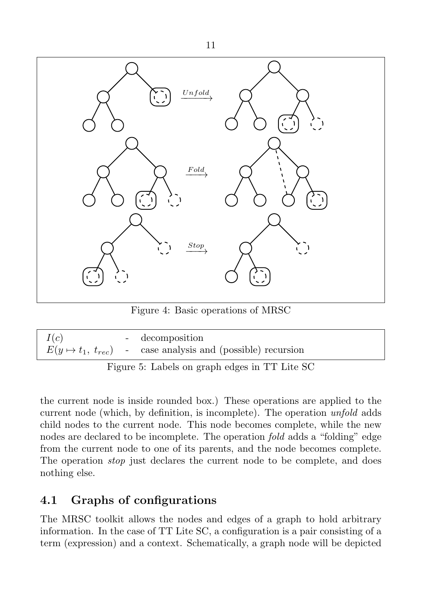<span id="page-10-0"></span>

Figure 4: Basic operations of MRSC

<span id="page-10-1"></span>

| I(c)                                                    |  | - decomposition                                                      |  |
|---------------------------------------------------------|--|----------------------------------------------------------------------|--|
|                                                         |  | $E(y \mapsto t_1, t_{rec})$ - case analysis and (possible) recursion |  |
| $E_{\text{mme}}$ , L. Labels on smaph adses in TT L. CO |  |                                                                      |  |

Figure 5: Labels on graph edges in TT Lite SC

the current node is inside rounded box.) These operations are applied to the current node (which, by definition, is incomplete). The operation unfold adds child nodes to the current node. This node becomes complete, while the new nodes are declared to be incomplete. The operation fold adds a "folding" edge from the current node to one of its parents, and the node becomes complete. The operation *stop* just declares the current node to be complete, and does nothing else.

### 4.1 Graphs of configurations

The MRSC toolkit allows the nodes and edges of a graph to hold arbitrary information. In the case of TT Lite SC, a configuration is a pair consisting of a term (expression) and a context. Schematically, a graph node will be depicted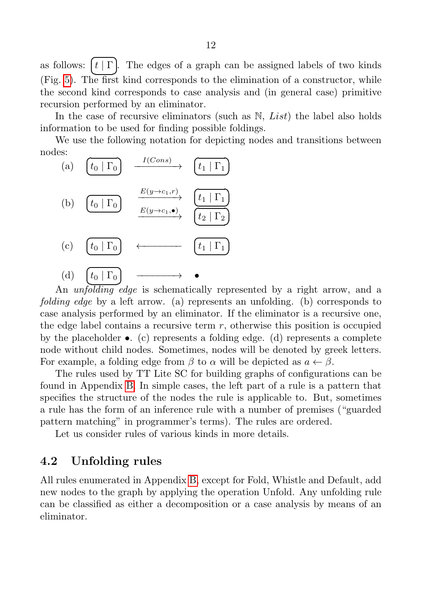as follows:  $\boxed{t | \Gamma}$ . The edges of a graph can be assigned labels of two kinds ✝ ✆ (Fig. [5\)](#page-10-1). The first kind corresponds to the elimination of a constructor, while the second kind corresponds to case analysis and (in general case) primitive recursion performed by an eliminator.

In the case of recursive eliminators (such as  $N$ , *List*) the label also holds information to be used for finding possible foldings.

We use the following notation for depicting nodes and transitions between nodes:



An *unfolding edge* is schematically represented by a right arrow, and a folding edge by a left arrow. (a) represents an unfolding. (b) corresponds to case analysis performed by an eliminator. If the eliminator is a recursive one, the edge label contains a recursive term  $r$ , otherwise this position is occupied by the placeholder ∙. (c) represents a folding edge. (d) represents a complete node without child nodes. Sometimes, nodes will be denoted by greek letters. For example, a folding edge from  $\beta$  to  $\alpha$  will be depicted as  $a \leftarrow \beta$ .

The rules used by TT Lite SC for building graphs of configurations can be found in Appendix [B.](#page-22-0) In simple cases, the left part of a rule is a pattern that specifies the structure of the nodes the rule is applicable to. But, sometimes a rule has the form of an inference rule with a number of premises ("guarded pattern matching" in programmer's terms). The rules are ordered.

Let us consider rules of various kinds in more details.

#### 4.2 Unfolding rules

All rules enumerated in Appendix [B,](#page-22-0) except for Fold, Whistle and Default, add new nodes to the graph by applying the operation Unfold. Any unfolding rule can be classified as either a decomposition or a case analysis by means of an eliminator.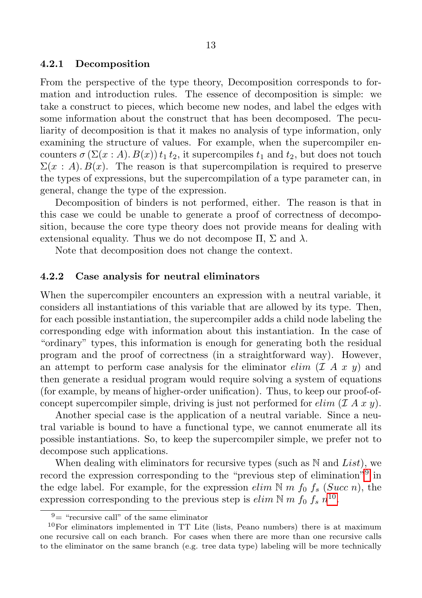#### 4.2.1 Decomposition

From the perspective of the type theory, Decomposition corresponds to formation and introduction rules. The essence of decomposition is simple: we take a construct to pieces, which become new nodes, and label the edges with some information about the construct that has been decomposed. The peculiarity of decomposition is that it makes no analysis of type information, only examining the structure of values. For example, when the supercompiler encounters  $\sigma(\Sigma(x:A), B(x))t_1 t_2$ , it supercompiles  $t_1$  and  $t_2$ , but does not touch  $\Sigma(x : A)$ .  $B(x)$ . The reason is that supercompilation is required to preserve the types of expressions, but the supercompilation of a type parameter can, in general, change the type of the expression.

Decomposition of binders is not performed, either. The reason is that in this case we could be unable to generate a proof of correctness of decomposition, because the core type theory does not provide means for dealing with extensional equality. Thus we do not decompose  $\Pi$ ,  $\Sigma$  and  $\lambda$ .

Note that decomposition does not change the context.

#### 4.2.2 Case analysis for neutral eliminators

When the supercompiler encounters an expression with a neutral variable, it considers all instantiations of this variable that are allowed by its type. Then, for each possible instantiation, the supercompiler adds a child node labeling the corresponding edge with information about this instantiation. In the case of "ordinary" types, this information is enough for generating both the residual program and the proof of correctness (in a straightforward way). However, an attempt to perform case analysis for the eliminator  $elim \left(\mathcal{I} A x y\right)$  and then generate a residual program would require solving a system of equations (for example, by means of higher-order unification). Thus, to keep our proof-ofconcept supercompiler simple, driving is just not performed for  $elim (I A x y)$ .

Another special case is the application of a neutral variable. Since a neutral variable is bound to have a functional type, we cannot enumerate all its possible instantiations. So, to keep the supercompiler simple, we prefer not to decompose such applications.

When dealing with eliminators for recursive types (such as  $\mathbb N$  and  $List$ ), we record the expression corresponding to the "previous step of elimination"<sup>[9](#page-12-0)</sup> in the edge label. For example, for the expression  $\dim \mathbb{N}$  m  $f_0$   $f_s$  (Succ n), the expression corresponding to the previous step is  $\dim \mathbb{N}$  m  $f_0$   $f_s$   $n^{10}$  $n^{10}$  $n^{10}$ .

<span id="page-12-1"></span><span id="page-12-0"></span> $9$  = "recursive call" of the same eliminator

 $10$ For eliminators implemented in TT Lite (lists, Peano numbers) there is at maximum one recursive call on each branch. For cases when there are more than one recursive calls to the eliminator on the same branch (e.g. tree data type) labeling will be more technically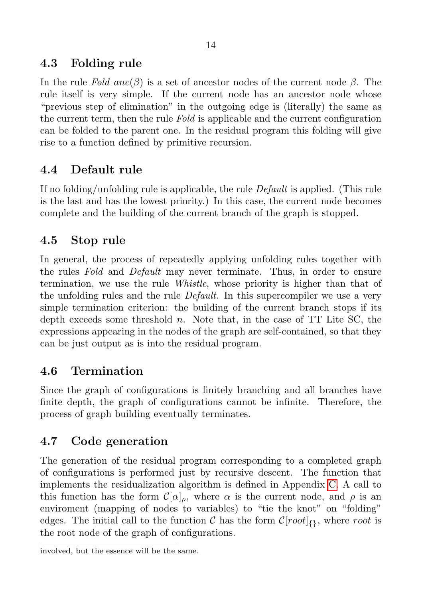### 4.3 Folding rule

In the rule Fold anc $(\beta)$  is a set of ancestor nodes of the current node  $\beta$ . The rule itself is very simple. If the current node has an ancestor node whose "previous step of elimination" in the outgoing edge is (literally) the same as the current term, then the rule Fold is applicable and the current configuration can be folded to the parent one. In the residual program this folding will give rise to a function defined by primitive recursion.

### 4.4 Default rule

If no folding/unfolding rule is applicable, the rule Default is applied. (This rule is the last and has the lowest priority.) In this case, the current node becomes complete and the building of the current branch of the graph is stopped.

### 4.5 Stop rule

In general, the process of repeatedly applying unfolding rules together with the rules Fold and Default may never terminate. Thus, in order to ensure termination, we use the rule Whistle, whose priority is higher than that of the unfolding rules and the rule Default. In this supercompiler we use a very simple termination criterion: the building of the current branch stops if its depth exceeds some threshold  $n$ . Note that, in the case of TT Lite SC, the expressions appearing in the nodes of the graph are self-contained, so that they can be just output as is into the residual program.

### 4.6 Termination

Since the graph of configurations is finitely branching and all branches have finite depth, the graph of configurations cannot be infinite. Therefore, the process of graph building eventually terminates.

### 4.7 Code generation

The generation of the residual program corresponding to a completed graph of configurations is performed just by recursive descent. The function that implements the residualization algorithm is defined in Appendix [C.](#page-24-0) A call to this function has the form  $C[\alpha]_{\rho}$ , where  $\alpha$  is the current node, and  $\rho$  is an enviroment (mapping of nodes to variables) to "tie the knot" on "folding" edges. The initial call to the function C has the form  $C[root]_{\{\}$ , where root is the root node of the graph of configurations.

involved, but the essence will be the same.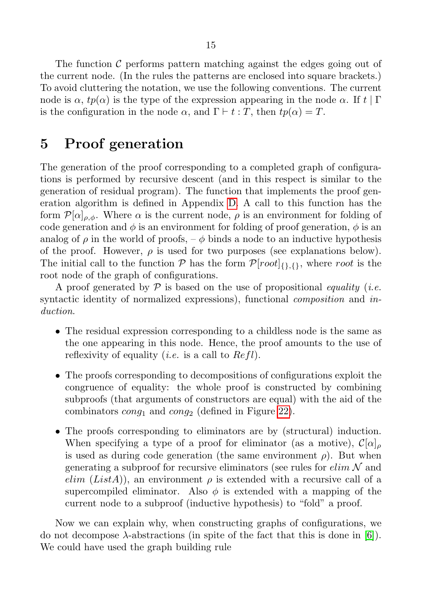The function  $\mathcal C$  performs pattern matching against the edges going out of the current node. (In the rules the patterns are enclosed into square brackets.) To avoid cluttering the notation, we use the following conventions. The current node is  $\alpha$ ,  $tp(\alpha)$  is the type of the expression appearing in the node  $\alpha$ . If  $t | \Gamma$ is the configuration in the node  $\alpha$ , and  $\Gamma \vdash t : T$ , then  $tp(\alpha) = T$ .

## <span id="page-14-0"></span>5 Proof generation

The generation of the proof corresponding to a completed graph of configurations is performed by recursive descent (and in this respect is similar to the generation of residual program). The function that implements the proof generation algorithm is defined in Appendix [D.](#page-26-0) A call to this function has the form  $\mathcal{P}[\alpha]_{a,\phi}$ . Where  $\alpha$  is the current node,  $\rho$  is an environment for folding of code generation and  $\phi$  is an environment for folding of proof generation,  $\phi$  is an analog of  $\rho$  in the world of proofs, –  $\phi$  binds a node to an inductive hypothesis of the proof. However,  $\rho$  is used for two purposes (see explanations below). The initial call to the function  $P$  has the form  $P[root]_{\{1,3\}}$ , where root is the root node of the graph of configurations.

A proof generated by  $P$  is based on the use of propositional *equality* (*i.e.* syntactic identity of normalized expressions), functional composition and induction.

- ∙ The residual expression corresponding to a childless node is the same as the one appearing in this node. Hence, the proof amounts to the use of reflexivity of equality (*i.e.* is a call to  $Refl$ ).
- ∙ The proofs corresponding to decompositions of configurations exploit the congruence of equality: the whole proof is constructed by combining subproofs (that arguments of constructors are equal) with the aid of the combinators  $con_{q_1}$  and  $con_{q_2}$  (defined in Figure [22\)](#page-27-0).
- ∙ The proofs corresponding to eliminators are by (structural) induction. When specifying a type of a proof for eliminator (as a motive),  $\mathcal{C}[\alpha]_o$ is used as during code generation (the same environment  $\rho$ ). But when generating a subproof for recursive eliminators (see rules for  $\dim \mathcal{N}$  and  $elim (ListA))$ , an environment  $\rho$  is extended with a recursive call of a supercompiled eliminator. Also  $\phi$  is extended with a mapping of the current node to a subproof (inductive hypothesis) to "fold" a proof.

Now we can explain why, when constructing graphs of configurations, we do not decompose  $\lambda$ -abstractions (in spite of the fact that this is done in [\[6\]](#page-16-8)). We could have used the graph building rule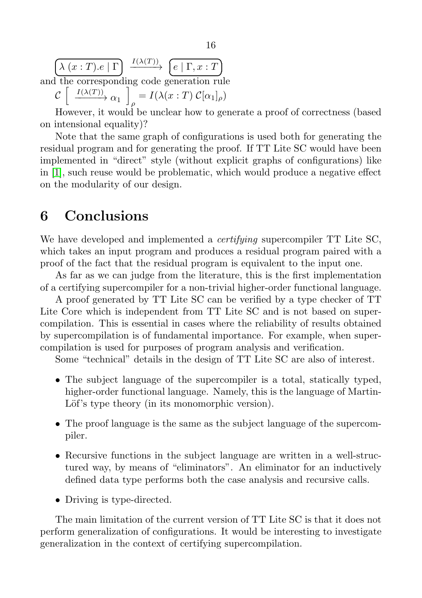and the corresponding code generation rule  
\n
$$
\mathcal{C} \left[ \begin{array}{c} \overbrace{\lambda(x:T).e \mid \Gamma} \xrightarrow{I(\lambda(T))} \overbrace{e \mid \Gamma, x : T} \\ \mathcal{C} \left[ \begin{array}{c} I(\lambda(T)) \\ \overbrace{\lambda_1} \end{array} \right]_e = I(\lambda(x:T) \mathcal{C}[\alpha_1]_\rho) \end{array} \right]
$$

However, it would be unclear how to generate a proof of correctness (based on intensional equality)?

Note that the same graph of configurations is used both for generating the residual program and for generating the proof. If TT Lite SC would have been implemented in "direct" style (without explicit graphs of configurations) like in [\[1\]](#page-16-9), such reuse would be problematic, which would produce a negative effect on the modularity of our design.

## <span id="page-15-0"></span>6 Conclusions

We have developed and implemented a *certifying* supercompiler TT Lite SC, which takes an input program and produces a residual program paired with a proof of the fact that the residual program is equivalent to the input one.

As far as we can judge from the literature, this is the first implementation of a certifying supercompiler for a non-trivial higher-order functional language.

A proof generated by TT Lite SC can be verified by a type checker of TT Lite Core which is independent from TT Lite SC and is not based on supercompilation. This is essential in cases where the reliability of results obtained by supercompilation is of fundamental importance. For example, when supercompilation is used for purposes of program analysis and verification.

Some "technical" details in the design of TT Lite SC are also of interest.

- ∙ The subject language of the supercompiler is a total, statically typed, higher-order functional language. Namely, this is the language of Martin-Löf's type theory (in its monomorphic version).
- ∙ The proof language is the same as the subject language of the supercompiler.
- ∙ Recursive functions in the subject language are written in a well-structured way, by means of "eliminators". An eliminator for an inductively defined data type performs both the case analysis and recursive calls.
- ∙ Driving is type-directed.

The main limitation of the current version of TT Lite SC is that it does not perform generalization of configurations. It would be interesting to investigate generalization in the context of certifying supercompilation.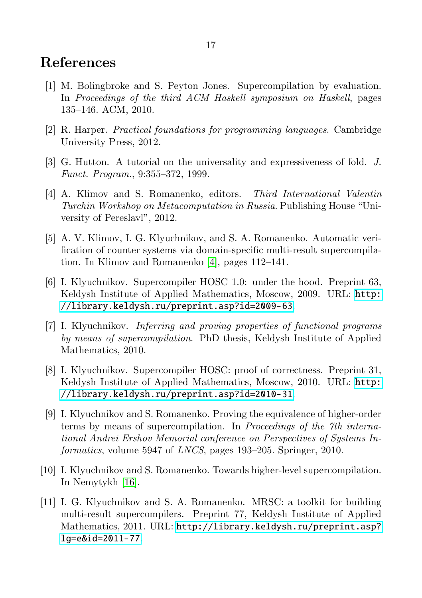# References

- <span id="page-16-9"></span>[1] M. Bolingbroke and S. Peyton Jones. Supercompilation by evaluation. In Proceedings of the third ACM Haskell symposium on Haskell, pages 135–146. ACM, 2010.
- <span id="page-16-6"></span>[2] R. Harper. Practical foundations for programming languages. Cambridge University Press, 2012.
- <span id="page-16-5"></span>[3] G. Hutton. A tutorial on the universality and expressiveness of fold. J. Funct. Program., 9:355–372, 1999.
- <span id="page-16-10"></span>[4] A. Klimov and S. Romanenko, editors. Third International Valentin Turchin Workshop on Metacomputation in Russia. Publishing House "University of Pereslavl", 2012.
- <span id="page-16-0"></span>[5] A. V. Klimov, I. G. Klyuchnikov, and S. A. Romanenko. Automatic verification of counter systems via domain-specific multi-result supercompilation. In Klimov and Romanenko [\[4\]](#page-16-10), pages 112–141.
- <span id="page-16-8"></span>[6] I. Klyuchnikov. Supercompiler HOSC 1.0: under the hood. Preprint 63, Keldysh Institute of Applied Mathematics, Moscow, 2009. URL: [http:](http://library.keldysh.ru/preprint.asp?id=2009-63) [//library.keldysh.ru/preprint.asp?id=2009-63](http://library.keldysh.ru/preprint.asp?id=2009-63).
- <span id="page-16-2"></span>[7] I. Klyuchnikov. Inferring and proving properties of functional programs by means of supercompilation. PhD thesis, Keldysh Institute of Applied Mathematics, 2010.
- <span id="page-16-4"></span>[8] I. Klyuchnikov. Supercompiler HOSC: proof of correctness. Preprint 31, Keldysh Institute of Applied Mathematics, Moscow, 2010. URL: [http:](http://library.keldysh.ru/preprint.asp?id=2010-31) [//library.keldysh.ru/preprint.asp?id=2010-31](http://library.keldysh.ru/preprint.asp?id=2010-31).
- <span id="page-16-1"></span>[9] I. Klyuchnikov and S. Romanenko. Proving the equivalence of higher-order terms by means of supercompilation. In Proceedings of the 7th international Andrei Ershov Memorial conference on Perspectives of Systems Informatics, volume 5947 of LNCS, pages 193–205. Springer, 2010.
- <span id="page-16-3"></span>[10] I. Klyuchnikov and S. Romanenko. Towards higher-level supercompilation. In Nemytykh [\[16\]](#page-17-12).
- <span id="page-16-7"></span>[11] I. G. Klyuchnikov and S. A. Romanenko. MRSC: a toolkit for building multi-result supercompilers. Preprint 77, Keldysh Institute of Applied Mathematics, 2011. URL: [http://library.keldysh.ru/preprint.asp?](http://library.keldysh.ru/preprint.asp?lg=e&id=2011-77) [lg=e&id=2011-77](http://library.keldysh.ru/preprint.asp?lg=e&id=2011-77).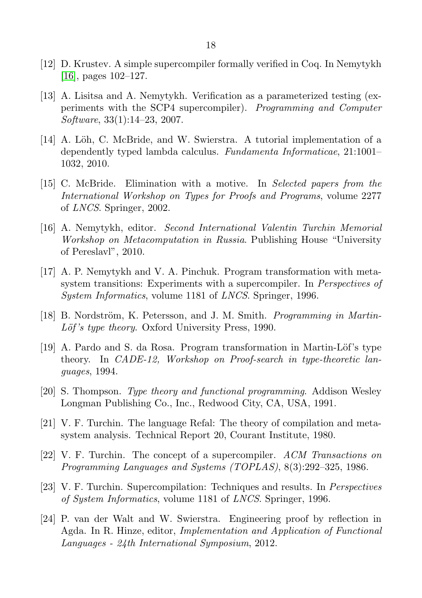- <span id="page-17-5"></span>[12] D. Krustev. A simple supercompiler formally verified in Coq. In Nemytykh [\[16\]](#page-17-12), pages 102–127.
- <span id="page-17-2"></span>[13] A. Lisitsa and A. Nemytykh. Verification as a parameterized testing (experiments with the SCP4 supercompiler). Programming and Computer Software, 33(1):14–23, 2007.
- <span id="page-17-11"></span>[14] A. Löh, C. McBride, and W. Swierstra. A tutorial implementation of a dependently typed lambda calculus. Fundamenta Informaticae, 21:1001– 1032, 2010.
- <span id="page-17-8"></span>[15] C. McBride. Elimination with a motive. In Selected papers from the International Workshop on Types for Proofs and Programs, volume 2277 of LNCS. Springer, 2002.
- <span id="page-17-12"></span>[16] A. Nemytykh, editor. Second International Valentin Turchin Memorial Workshop on Metacomputation in Russia. Publishing House "University of Pereslavl", 2010.
- <span id="page-17-3"></span>[17] A. P. Nemytykh and V. A. Pinchuk. Program transformation with metasystem transitions: Experiments with a supercompiler. In Perspectives of System Informatics, volume 1181 of LNCS. Springer, 1996.
- <span id="page-17-9"></span>[18] B. Nordström, K. Petersson, and J. M. Smith. *Programming in Martin*- $L\ddot{o}f's$  type theory. Oxford University Press, 1990.
- <span id="page-17-6"></span>[19] A. Pardo and S. da Rosa. Program transformation in Martin-Löf's type theory. In CADE-12, Workshop on Proof-search in type-theoretic languages, 1994.
- <span id="page-17-10"></span>[20] S. Thompson. Type theory and functional programming. Addison Wesley Longman Publishing Co., Inc., Redwood City, CA, USA, 1991.
- <span id="page-17-1"></span>[21] V. F. Turchin. The language Refal: The theory of compilation and metasystem analysis. Technical Report 20, Courant Institute, 1980.
- <span id="page-17-0"></span>[22] V. F. Turchin. The concept of a supercompiler. ACM Transactions on Programming Languages and Systems (TOPLAS), 8(3):292–325, 1986.
- <span id="page-17-4"></span>[23] V. F. Turchin. Supercompilation: Techniques and results. In Perspectives of System Informatics, volume 1181 of LNCS. Springer, 1996.
- <span id="page-17-7"></span>[24] P. van der Walt and W. Swierstra. Engineering proof by reflection in Agda. In R. Hinze, editor, Implementation and Application of Functional Languages - 24th International Symposium, 2012.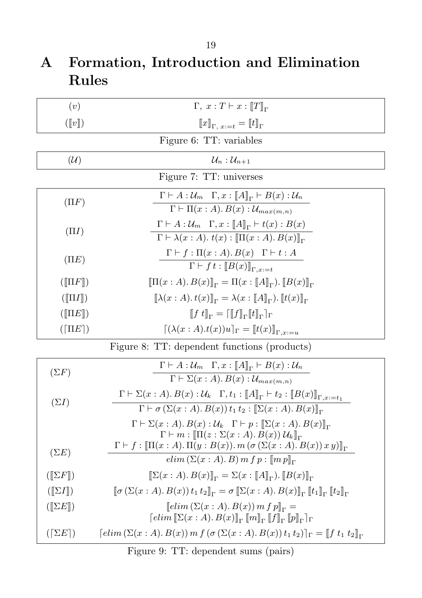| (v)                                | $\Gamma, x: T \vdash x: \llbracket T \rrbracket_{\Gamma}$                                                                                                                                                                                                                            |
|------------------------------------|--------------------------------------------------------------------------------------------------------------------------------------------------------------------------------------------------------------------------------------------------------------------------------------|
| $(\llbracket v \rrbracket)$        | $[[x]]_{\Gamma, x:=t} = [[t]]_{\Gamma}$                                                                                                                                                                                                                                              |
|                                    | Figure 6: TT: variables                                                                                                                                                                                                                                                              |
| $(\mathcal{U})$                    | $\mathcal{U}_n : \mathcal{U}_{n+1}$                                                                                                                                                                                                                                                  |
|                                    | Figure 7: TT: universes                                                                                                                                                                                                                                                              |
| $(\Pi F)$                          | $\Gamma \vdash A : \mathcal{U}_m \quad \Gamma, x : \llbracket A \rrbracket_{\Gamma} \vdash B(x) : \mathcal{U}_n$<br>$\Gamma \vdash \Pi(x:A). B(x): \mathcal{U}_{max(m,n)}$                                                                                                           |
| $(\Pi I)$                          | $\Gamma \vdash A : \mathcal{U}_m \quad \Gamma, x : \llbracket A \rrbracket_{\Gamma} \vdash t(x) : B(x)$<br>$\Gamma \vdash \lambda(x:A) . t(x) : [\Pi(x:A) . B(x)]_{\Gamma}$                                                                                                          |
| $( \Pi E)$                         | $\Gamma \vdash f : \Pi(x:A) . B(x) \quad \Gamma \vdash t : A$<br>$\Gamma \vdash f t : \llbracket B(x) \rrbracket_{\Gamma, x := t}$                                                                                                                                                   |
| $(\llbracket \Pi F \rrbracket)$    | $[\![\Pi(x:A),B(x)]\!]_{\Gamma} = \Pi(x: [\![A]\!]_{\Gamma}). [\![B(x)]\!]_{\Gamma}$                                                                                                                                                                                                 |
| $(\llbracket \Pi I \rrbracket)$    | $[\![\lambda(x:A).t(x)]\!]_{\Gamma} = \lambda(x: [\![A]\!]_{\Gamma}). [\![t(x)]\!]_{\Gamma}$                                                                                                                                                                                         |
| $(\llbracket \Pi E \rrbracket)$    | $[[f\ t]]_{\Gamma} = [[f]]_{\Gamma}[[t]]_{\Gamma}]_{\Gamma}$                                                                                                                                                                                                                         |
| $(\lceil \Pi E \rceil)$            | $[(\lambda(x:A).t(x))u]_{\Gamma} = [[t(x)]_{\Gamma,x:=u}]$                                                                                                                                                                                                                           |
|                                    | Figure 8: TT: dependent functions (products)                                                                                                                                                                                                                                         |
| $(\Sigma F)$                       | $\Gamma \vdash A : \mathcal{U}_m \quad \Gamma, x : \llbracket A \rrbracket_{\Gamma} \vdash B(x) : \mathcal{U}_n$<br>$\Gamma \vdash \Sigma(x:A). B(x): \mathcal{U}_{max(m,n)}$                                                                                                        |
| $(\Sigma I)$                       | $\Gamma \vdash \Sigma(x:A) \ldotp B(x) : \mathcal{U}_k \quad \Gamma, t_1 : \llbracket A \rrbracket_{\Gamma} \vdash t_2 : \llbracket B(x) \rrbracket_{\Gamma,x:=t_1}$<br>$\Gamma \vdash \sigma (\Sigma(x:A), B(x)) t_1 t_2 : \llbracket \Sigma(x:A), B(x) \rrbracket_{\Gamma}$        |
|                                    | $\Gamma \vdash \Sigma(x:A) . B(x) : \mathcal{U}_k \quad \Gamma \vdash p : \llbracket \Sigma(x:A) . B(x) \rrbracket_{\Gamma}$                                                                                                                                                         |
| $(\Sigma E)$                       | $\Gamma \vdash m : [\Pi(z : \Sigma(x : A) . B(x)) \mathcal{U}_k]_{\Gamma}$<br>$\Gamma \vdash f : [\Pi(x:A), \Pi(y:B(x)), m (\sigma (\Sigma(x:A), B(x)) x y)]_{\Gamma}$<br>$elim\left(\Sigma(x:A),B\right)m\,f\,p:\left[\!\left[m\,p\right]\!\right]_{\Gamma}$                        |
| $(\llbracket \Sigma F \rrbracket)$ | $[\![\Sigma(x:A),B(x)]\!]_{\Gamma}=\Sigma(x:[\![A]\!]_{\Gamma}).\,[\![B(x)]\!]_{\Gamma}$                                                                                                                                                                                             |
| $(\llbracket \Sigma I \rrbracket)$ | $[\![\sigma(\Sigma(x:A),B(x))\,t_1\,t_2]\!]_\Gamma = \sigma[\![\Sigma(x:A),B(x)]\!]_\Gamma\,[\![t_1]\!]_\Gamma\,[\![t_2]\!]_\Gamma$                                                                                                                                                  |
| $(\llbracket \Sigma E \rrbracket)$ | $\llbracket \text{elim}(\Sigma(x:A), B(x)) \, m \, f \, p \rrbracket_{\Gamma} =$<br>$\llbracket \text{elim} \llbracket \Sigma(x:A), B(x) \rrbracket_{\Gamma} \llbracket m \rrbracket_{\Gamma} \llbracket f \rrbracket_{\Gamma} \llbracket p \rrbracket_{\Gamma} \rrbracket_{\Gamma}$ |
| $(\lceil \Sigma E \rceil)$         | $\lceil \text{elim}(\Sigma(x:A), B(x)) \, m \, f \, (\sigma \, (\Sigma(x:A), B(x)) \, t_1 \, t_2) \rceil_{\Gamma} = \lbrack \rbrack f \, t_1 \, t_2 \rbrack \rbrack_{\Gamma}$                                                                                                        |

<span id="page-18-0"></span>A Formation, Introduction and Elimination Rules

Figure 9: TT: dependent sums (pairs)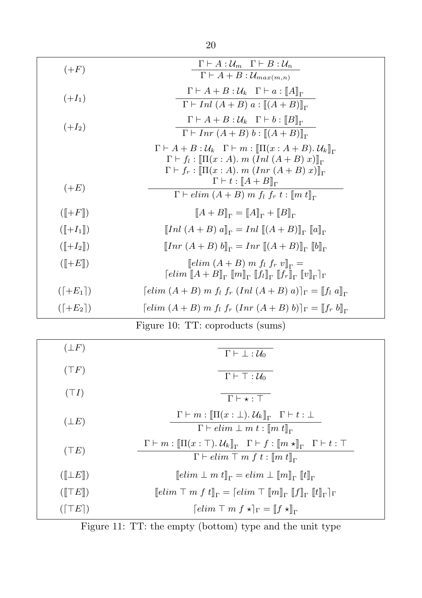| $(+F)$                         | $\Gamma \vdash A : \mathcal{U}_m \quad \Gamma \vdash B : \mathcal{U}_n$<br>$\Gamma \vdash A + B : \mathcal{U}_{max(m,n)}$                                                                                                                                                                               |
|--------------------------------|---------------------------------------------------------------------------------------------------------------------------------------------------------------------------------------------------------------------------------------------------------------------------------------------------------|
| $(+I_1)$                       | $\Gamma \vdash A + B : U_k \quad \Gamma \vdash a : \llbracket A \rrbracket_{\Gamma}$<br>$\Gamma \vdash Inl (A + B) a : [(A + B)]_{\Gamma}$                                                                                                                                                              |
| $(+I_2)$                       | $\Gamma \vdash A + B : U_k \quad \Gamma \vdash b :   B  _{\Gamma}$<br>$\Gamma \vdash \textit{Inr } (A + B) b : [(A + B)]_{\Gamma}$                                                                                                                                                                      |
|                                | $\Gamma \vdash A + B : U_k \quad \Gamma \vdash m : [\![ \Pi(x : A + B) . U_k ]\!]_{\Gamma}$<br>$\Gamma \vdash f_l : \llbracket \Pi(x:A), m \ (Inl \ (A+B) x) \rrbracket_{\Gamma}$<br>$\Gamma \vdash f_r : \llbracket \Pi(x:A), m \ (Inv(A+B) x) \rrbracket_r$                                           |
| $(+E)$                         | $\Gamma\vdash t:\ A+B\ _{\Gamma}$<br>$\Gamma \vdash elim (A + B) m f_l f_r t : [m t]_{\Gamma}$                                                                                                                                                                                                          |
| $(\  + F \ )$                  | $  A + B  _{\Gamma} =   A  _{\Gamma} +   B  _{\Gamma}$                                                                                                                                                                                                                                                  |
| $($   + $I_1$   )              | $[Inl (A + B) a]_{\Gamma} = Inl (A + B)_{\Gamma}  a_{\Gamma} $                                                                                                                                                                                                                                          |
| $(\llbracket +I_2 \rrbracket)$ | $[\![\ln r\ (A+B)\ b]\!]_{\Gamma} = \ln r\ [[(A+B)]\!]_{\Gamma} \ [b]\!]_{\Gamma}$                                                                                                                                                                                                                      |
| $(\llbracket +E \rrbracket)$   | $\left[\left\  \text{elim}\left(A+B\right)\right) m f_l f_r v \right]_{\Gamma} =$<br>$\llbracket elim \llbracket A + B \rrbracket_{\Gamma} \llbracket m \rrbracket_{\Gamma} \llbracket f_l \rrbracket_{\Gamma} \llbracket f_r \rrbracket_{\Gamma} \llbracket v \rrbracket_{\Gamma} \rrbracket_{\Gamma}$ |
| $(\lceil +E_1 \rceil)$         | $[elim (A + B) m f_l f_r (Inl (A + B) a)]_{\Gamma} =   f_l a  _{\Gamma}$                                                                                                                                                                                                                                |
| $( +E_2 )$                     | $\left[ \text{elim}(A+B) \text{m} \text{f}_{l} \text{f}_{r} \left( \text{Inv}(A+B) \text{b} \right) \right]_{\Gamma} = \left[ \text{f}_{r} \text{b} \right]_{\Gamma}$                                                                                                                                   |

Figure 10: TT: coproducts (sums)

| $(\perp F)$            | $\Gamma \vdash \bot : \mathcal{U}_0$                                                                                                                                                                                                                    |
|------------------------|---------------------------------------------------------------------------------------------------------------------------------------------------------------------------------------------------------------------------------------------------------|
| $(\top F)$             | $\Gamma \vdash \top : \mathcal{U}_0$                                                                                                                                                                                                                    |
| (TI)                   | $\Gamma \vdash \star : \top$                                                                                                                                                                                                                            |
| $(\perp E)$            | $\Gamma \vdash m : [\![ \Pi(x:\bot) . \mathcal{U}_k ]\!]_\Gamma \quad \Gamma \vdash t : \bot$<br>$\Gamma \vdash elim \perp m t : \llbracket m t \rrbracket_{\Gamma}$                                                                                    |
| (TE)                   | $\Gamma \vdash m : \llbracket \Pi(x : \top) . \mathcal{U}_k \rrbracket_{\Gamma} \quad \Gamma \vdash f : \llbracket m \star \rrbracket_{\Gamma} \quad \Gamma \vdash t : \top$<br>$\Gamma \vdash elim \top m f t : \ m t\ _{\Gamma}$                      |
| $(\Vert \bot E \Vert)$ | $\Vert e\overline{\lim} \perp m t \Vert_{\Gamma} = e\overline{\lim} \perp \Vert m \Vert_{\Gamma} \Vert t \Vert_{\Gamma}$                                                                                                                                |
| $(\Vert \top E \Vert)$ | $\llbracket \text{elim } \top \text{ m } f \text{ } t \rrbracket_{\Gamma} = \llbracket \text{elim } \top \text{ } \llbracket \text{m} \rrbracket_{\Gamma} \text{ } \llbracket f \rrbracket_{\Gamma} \text{ } \llbracket t \rrbracket_{\Gamma} \text{ }$ |
| $E\cup$                | $\left[e\right] \lim \top m f \star \vert_{\Gamma} = \left[ f \star \right]_{\Gamma}$                                                                                                                                                                   |

Figure 11: TT: the empty (bottom) type and the unit type

20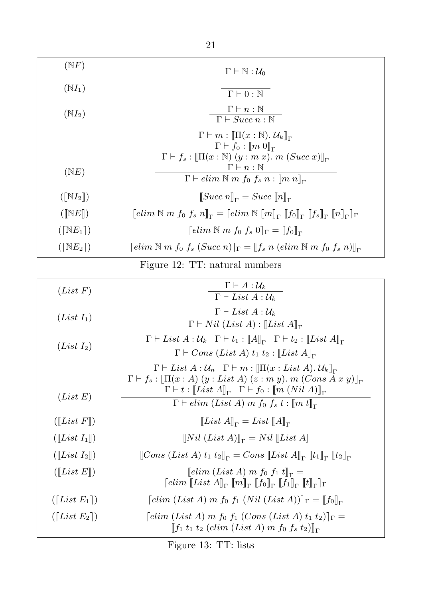| (NF)                            | $\Gamma \vdash \mathbb{N} : \mathcal{U}_0$                                                                                                                                                                                                         |
|---------------------------------|----------------------------------------------------------------------------------------------------------------------------------------------------------------------------------------------------------------------------------------------------|
| $(NI_1)$                        | $\Gamma \vdash 0 : \mathbb{N}$                                                                                                                                                                                                                     |
| $(NI_2)$                        | $\Gamma\vdash n:\mathbb{N}$<br>$\Gamma \vdash Succ\ n : \mathbb{N}$                                                                                                                                                                                |
|                                 | $\Gamma \vdash m : \llbracket \Pi(x : \mathbb{N}). \mathcal{U}_k \rrbracket_{\Gamma}$<br>$\Gamma\vdash f_0: \llbracket m\ 0 \rrbracket_{\Gamma}$<br>$\Gamma \vdash f_s : \llbracket \Pi(x : \mathbb{N}) (y : m x), m (Succ x) \rrbracket_{\Gamma}$ |
| (NE)                            | $\Gamma \vdash n : \mathbb{N}$<br>$\Gamma \vdash elim \otimes m \; f_0 \; f_s \; n : \llbracket m \; n \rrbracket_{\Gamma}$                                                                                                                        |
| $(\lVert \mathbb{N}I_2 \rVert)$ | $\ Succ n\ _{\mathcal{F}} = Succ \ n\ _{\mathcal{F}}$                                                                                                                                                                                              |
| $(\ NE\ )$                      | $[[elim\ N\ m\ f_0\ f_s\ n]]_{\Gamma}=[elim\ N\ [m]_{\Gamma}\ [f_0]_{\Gamma}\ [f_s]_{\Gamma}\ [n]_{\Gamma}]_{\Gamma}$                                                                                                                              |
| $(\lceil NE_1 \rceil)$          | $\lceil \text{elim}\ \mathbb{N}\ m\ f_0\ f_s\ 0 \rceil_{\Gamma} = \lceil \text{f}_0 \rceil_{\Gamma}$                                                                                                                                               |
| $( NE_2 )$                      | $\lceil \text{elim}\ \mathbb{N} \ m \ \text{for} \ \text{fs} \ ( \text{Succ } n ) \rceil_{\Gamma} = \lceil \text{fs} \ n \ (\text{elim}\ \mathbb{N} \ m \ \text{fo} \ \text{fs} \ n ) \rceil_{\Gamma}$                                             |
|                                 |                                                                                                                                                                                                                                                    |

Figure 12: TT: natural numbers

| (List F)                 | $\Gamma\vdash A:\mathcal{U}_k$<br>$\Gamma \vdash List A : U_k$                                                                                                                                                             |
|--------------------------|----------------------------------------------------------------------------------------------------------------------------------------------------------------------------------------------------------------------------|
| $(List I_1)$             | $\Gamma \vdash List A : \mathcal{U}_k$<br>$\Gamma \vdash Nil (List A) : \llbracket List A \rrbracket_{\Gamma}$                                                                                                             |
| $(List I_2)$             | $\Gamma\vdash List A:\mathcal{U}_k\quad\Gamma\vdash t_1:\ A\ _{\Gamma}\quad\Gamma\vdash t_2:\ List\ A\ _{\Gamma}$<br>$\Gamma \vdash Cons$ ( <i>List A</i> ) $t_1$ $t_2$ : [ <i>List A</i> ] <sub><math>\Gamma</math></sub> |
|                          | $\Gamma \vdash List A : \mathcal{U}_n \quad \Gamma \vdash m : [\Pi(x : List A) . \mathcal{U}_k]_{\Gamma}$<br>$\Gamma \vdash f_s : \llbracket \Pi(x:A) \ (y:List\ A) \ (z:m\ y) .\ m \ (Cons\ A\ x\ y) \rrbracket_{\Gamma}$ |
| (List E)                 | $\Gamma \vdash t : \llbracket List A \rrbracket_{\Gamma} \quad \Gamma \vdash f_0 : \llbracket m \ (Nil \ A) \rrbracket_{\Gamma}$<br>$\Gamma \vdash elim (List A) m f_0 f_s t : [m t]_{\Gamma}$                             |
| $(\Vert List F \Vert)$   | $\ List\ A\ _{\Gamma}=List\ \ A\ _{\Gamma}$                                                                                                                                                                                |
| $(\Vert List I_1 \Vert)$ | $[Nil (List A)]_{\Gamma} = Nil [List A]$                                                                                                                                                                                   |
| $(\Vert List I_2 \Vert)$ | $[Cons (List A) t_1 t_2]_{\Gamma} = Cons [List A]_{\Gamma}  t_1 _{\Gamma}  t_2 _{\Gamma}$                                                                                                                                  |
| $(\Vert List \ E \Vert)$ | $\left\Vert e\right\Vert$ im (List A) m $f_0$ $f_1$ t $\right\Vert_{\Gamma} =$<br>$\ elim\ List\ A\ _{\Gamma}\ m\ _{\Gamma}\ f_0\ _{\Gamma}\ f_1\ _{\Gamma}\ t\ _{\Gamma}\ r\ _{\Gamma}$                                   |
| $( List E_1 )$           | $\left[e\right]$ ( <i>List A</i> ) <i>m</i> $f_0$ $f_1$ ( <i>Nil</i> ( <i>List A</i> )) $\vert_{\Gamma} = \Vert f_0 \Vert_{\Gamma}$                                                                                        |
| $( List E_2 )$           | $\lceil$ elim (List A) m f <sub>0</sub> f <sub>1</sub> (Cons (List A) t <sub>1</sub> t <sub>2</sub> ) $\rceil$ <sub>F</sub> =<br>$   f_1 t_1 t_2 (elim (List A) m f_0 f_s t_2)   _{\Gamma}$                                |

Figure 13: TT: lists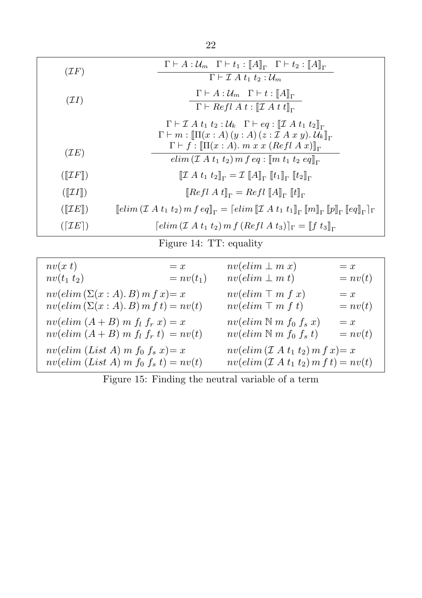| $(\mathcal{I} F)$                                                                                                                                                                                                                                                                                           |                                                                                                                                                                                                     | $\Gamma \vdash A : \mathcal{U}_m \quad \Gamma \vdash t_1 : \llbracket A \rrbracket_{\Gamma} \quad \Gamma \vdash t_2 : \llbracket A \rrbracket_{\Gamma}$<br>$\Gamma \vdash \mathcal{I} A t_1 t_2 : \mathcal{U}_m$ |           |  |
|-------------------------------------------------------------------------------------------------------------------------------------------------------------------------------------------------------------------------------------------------------------------------------------------------------------|-----------------------------------------------------------------------------------------------------------------------------------------------------------------------------------------------------|------------------------------------------------------------------------------------------------------------------------------------------------------------------------------------------------------------------|-----------|--|
| $(\mathcal{I}I)$                                                                                                                                                                                                                                                                                            | $\Gamma \vdash A : \mathcal{U}_m \quad \Gamma \vdash t : \llbracket A \rrbracket_{\Gamma}$<br>$\Gamma \vdash \text{Refl } A t : [\mathcal{I} A t t]_{\Gamma}$                                       |                                                                                                                                                                                                                  |           |  |
| $\Gamma \vdash \mathcal{I} \ A \ t_1 \ t_2 : \mathcal{U}_k \quad \Gamma \vdash eq : [\mathcal{I} \ A \ t_1 \ t_2]_{\Gamma}$<br>$\Gamma \vdash m : \llbracket \Pi(x:A)(y:A)(z: \mathcal{I} A x y). \mathcal{U}_k \rrbracket_{\Gamma}$<br>$\Gamma \vdash f : [\Pi(x:A), m \ x \ x \ (Refl \ A \ x)]_{\Gamma}$ |                                                                                                                                                                                                     |                                                                                                                                                                                                                  |           |  |
| (IE)                                                                                                                                                                                                                                                                                                        | $elim (\mathcal{I} A t_1 t_2) m f eq : [m t_1 t_2 eq]_{\Gamma}$                                                                                                                                     |                                                                                                                                                                                                                  |           |  |
| $(\mathcal{Z}F\mathcal{Z})$                                                                                                                                                                                                                                                                                 | $[\![\mathcal{I}\,A\,t_1\,t_2]\!]_{\Gamma}=\mathcal{I}\,[\![A]\!]_{\Gamma}\,[\![t_1]\!]_{\Gamma}\,[\![t_2]\!]_{\Gamma}$                                                                             |                                                                                                                                                                                                                  |           |  |
| $(\llbracket \mathcal{I}I \rrbracket)$                                                                                                                                                                                                                                                                      | $\llbracket \text{Refl } A t \rrbracket_{\scriptscriptstyle\Gamma} = \text{Refl } \llbracket A \rrbracket_{\scriptscriptstyle\Gamma} \llbracket t \rrbracket_{\scriptscriptstyle\Gamma}$            |                                                                                                                                                                                                                  |           |  |
| $(\llbracket \mathcal{I} E \rrbracket)$                                                                                                                                                                                                                                                                     | $[[elim (\mathcal{I} A t_1 t_2) m f eq]]_{\Gamma} = [[elim [[\mathcal{I} A t_1 t_1]]_{\Gamma} [[m]]_{\Gamma} [[p]]_{\Gamma} [[eq]]_{\Gamma} ]_{\Gamma}$                                             |                                                                                                                                                                                                                  |           |  |
| $(\lceil \mathcal{I} E \rceil)$                                                                                                                                                                                                                                                                             | $\lceil \operatorname{elim} (\mathcal{I} \mathit{A} t_1 t_2) \mathit{m} \mathit{f} \left( \operatorname{Refl} \mathit{A} t_3 \right) \rceil_{\Gamma} = \lceil \operatorname{f} t_3 \rceil_{\Gamma}$ |                                                                                                                                                                                                                  |           |  |
| Figure 14: TT: equality                                                                                                                                                                                                                                                                                     |                                                                                                                                                                                                     |                                                                                                                                                                                                                  |           |  |
| nv(x t)                                                                                                                                                                                                                                                                                                     | $= x$                                                                                                                                                                                               | $nv(\text{elim }\perp m x)$                                                                                                                                                                                      | $= x$     |  |
| $nv(t_1, t_2)$                                                                                                                                                                                                                                                                                              | $= nv(t_1)$                                                                                                                                                                                         | $nv(\text{elim }\perp m\text{ }t)$                                                                                                                                                                               | $= nv(t)$ |  |
|                                                                                                                                                                                                                                                                                                             | $nv(\text{elim}(\Sigma(x:A),B)) \text{m} f x) = x$                                                                                                                                                  | $nv(elim \top m f x)$                                                                                                                                                                                            | $= x$     |  |
|                                                                                                                                                                                                                                                                                                             | $nv(\text{elim}(\Sigma(x:A),B) \text{m f} t) = nv(t)$                                                                                                                                               | $nv(elim \top m f t)$                                                                                                                                                                                            | $= nv(t)$ |  |
|                                                                                                                                                                                                                                                                                                             | $nv(\text{elim }(A+B) \text{ m } f_l f_r x) = x$<br>$nv(\text{elim }(A+B) \text{ m } f_l f_r t) = nv(t)$                                                                                            | $nv(\text{elim }\mathbb{N} \text{ m f}_0 f_s x) = x$<br>$nv(\text{elim}\,\mathbb{N}\,\text{m}\,\text{f}_0\,\text{f}_s\,\text{t})$                                                                                | $= nv(t)$ |  |
|                                                                                                                                                                                                                                                                                                             | $nv(\text{elim}(List A) m f_0 f_s x) = x$                                                                                                                                                           | $nv(\text{elim} (\mathcal{I} A t_1 t_2) m f x) = x$                                                                                                                                                              |           |  |

<span id="page-21-0"></span> $nv( \text{elim } ( \text{List } A) \text{ m } f_0 \text{ } f_s \text{ } t ) = nv(t)$   $nv( \text{elim } ( \mathcal{I} \text{ } A \text{ } t_1 \text{ } t_2) \text{ m } f \text{ } t ) = nv(t)$ Figure 15: Finding the neutral variable of a term

 $\overline{\phantom{a}}$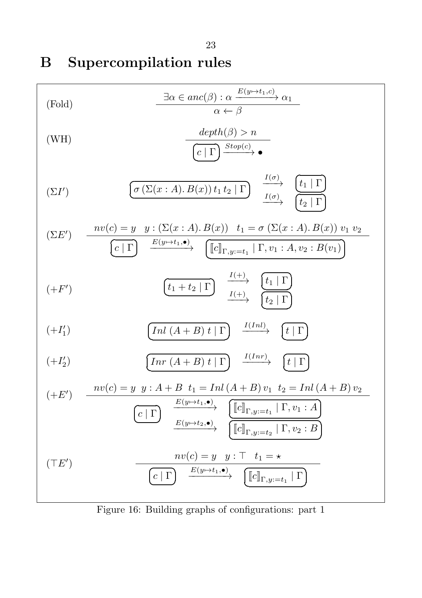

#### <span id="page-22-0"></span>B Supercompilation rules

Figure 16: Building graphs of configurations: part 1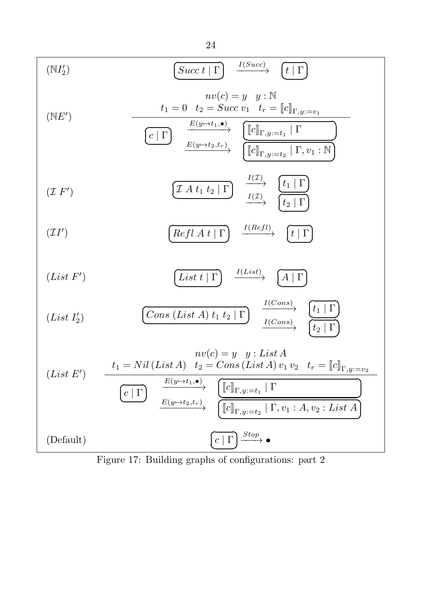$$
(NI_{2}')
$$
\n
$$
(M_{2}')
$$
\n
$$
f_{1} = 0 \quad t_{2} = Succ \, v_{1} \quad t_{r} = [c]_{\Gamma, y:=v_{1}}
$$
\n
$$
(NE')
$$
\n
$$
t_{1} = 0 \quad t_{2} = Succ \, v_{1} \quad t_{r} = [c]_{\Gamma, y:=v_{1}}
$$
\n
$$
(C|\Gamma) \xrightarrow{E(y \to t_{1}, \bullet)} \text{[C]_{\Gamma, y:=t_{2}} |\Gamma, v_{1}: \mathbb{N})}
$$
\n
$$
(I \, F')
$$
\n
$$
(I \, F')
$$
\n
$$
(I \, F')
$$
\n
$$
T \, A \, t_{1} \, t_{2} |\Gamma) \xrightarrow{I(1)} \text{[C]_{\Gamma, y:=t_{2}} |\Gamma, v_{1}: \mathbb{N})}
$$
\n
$$
(I \, F')
$$
\n
$$
(List \, F')
$$
\n
$$
(List \, F')
$$
\n
$$
(List \, F') \xrightarrow{List \, t |\Gamma} \xrightarrow{I(Rest)} \text{[A}|\Gamma]
$$
\n
$$
(List \, F')
$$
\n
$$
(List \, F') \xrightarrow{I(Const \, A) \, t_{1} \, t_{2} |\Gamma} \xrightarrow{I(Cons)} \text{[C]_{\Gamma}} \text{[C]_{\Gamma}}
$$
\n
$$
(List \, E') \xrightarrow{t_{1} = Nil (List \, A) \, t_{1} \, t_{2} = Cons (List \, A) \, v_{1} \, v_{2} \quad t_{r} = [c]_{\Gamma, y:=v_{2}}
$$
\n
$$
(List \, E') \xrightarrow{t_{1} = Nil (List \, A) \, t_{2} = Cons (List \, A) \, v_{1} \, v_{2} \quad t_{r} = [c]_{\Gamma, y:=v_{2}}
$$
\n
$$
(c|\Gamma) \xrightarrow{E(y \to t_{1}, \bullet)} \text{[C]_{\Gamma, y:=t_{2}} |\Gamma, v_{1}: A, v_{2}: List \, A}
$$
\n
$$
(Default)
$$
\n
$$
(C|\Gamma) \xrightarrow{Stop \, \bullet} \bullet
$$

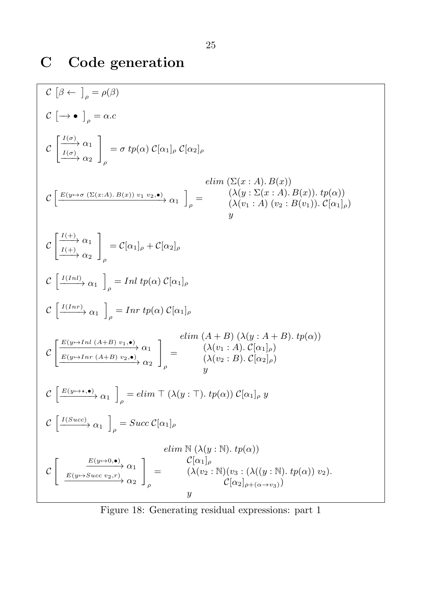#### <span id="page-24-0"></span>Code generation  $\mathbf C$

$$
C \left[\beta \leftarrow \right]_{\rho} = \rho(\beta)
$$
\n
$$
C \left[\rightarrow \bullet \right]_{\rho} = \alpha.c
$$
\n
$$
C \left[\frac{I(\sigma)}{I(\sigma)} \alpha_1 \right]_{\rho} = \sigma \, tp(\alpha) \, C[\alpha_1]_{\rho} \, C[\alpha_2]_{\rho}
$$
\n
$$
elim \left(\Sigma(x:A), B(x))\right)
$$
\n
$$
C \left[\frac{E(y \rightarrow \sigma \left(\Sigma(x:A), B(x)\right) \, v_1 \, v_2, \bullet)}{\left(\lambda(y:A), B(x)\right) \, v_1 \right]_{\rho}}\right] = \begin{array}{c} ( \lambda(y:\Sigma(x:A), B(x)) ). \, tp(\alpha) ) \\ \left(\lambda(v_1:A) \, (v_2:B(v_1)). \, C[\alpha_1]_{\rho} \right) \\ y \end{array}
$$
\n
$$
C \left[\frac{I(t+)}{I(t)} \alpha_1 \right]_{\rho} = C[\alpha_1]_{\rho} + C[\alpha_2]_{\rho}
$$
\n
$$
C \left[\frac{I(Int)}{I(t)} \alpha_1 \right]_{\rho} = Inn \, tp(\alpha) \, C[\alpha_1]_{\rho}
$$
\n
$$
C \left[\frac{E(y \rightarrow Int (A+B) \, v_1, \bullet)}{E(y \rightarrow Int (A+B) \, v_1, \bullet)} \alpha_1 \right]_{\rho} = \begin{array}{c} elim \, (A+B) \, (\lambda(y:A+B), tp(\alpha)) \\ \left(\lambda(v_2:B), C[\alpha_2]_{\rho}\right) \end{array}
$$
\n
$$
C \left[\frac{E(y \rightarrow Int (A+B) \, v_2, \bullet)}{E(y \rightarrow Int (A+B) \, v_2, \bullet)} \alpha_2 \right]_{\rho} = \begin{array}{c} ( \lambda(v_1:A), C[\alpha_1]_{\rho}) \\ \left(\lambda(v_2:B), C[\alpha_2]_{\rho}\right) \end{array}
$$
\n
$$
C \left[\frac{I(Succ)}{I(suc)}, \alpha_1 \right]_{\rho} = slucc C[\alpha_1]_{\rho}
$$
\n
$$
elim \, N \, (\lambda(y:N), tp(\alpha))
$$
\n
$$
C \left[\frac{E(y \rightarrow 0, \bullet)}{E(y \rightarrow Succ v_2, r)}, \alpha_2 \right]_{\rho} = \begin{array}{c} C
$$

Figure 18: Generating residual expressions: part 1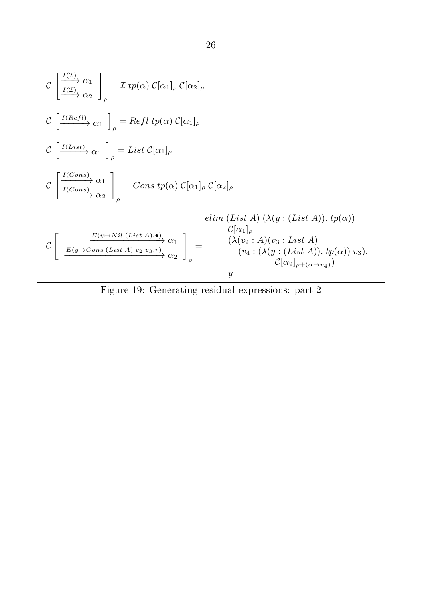$$
\mathcal{C}\left[\frac{I(\mathcal{I})}{I(\mathcal{I})}\alpha_{1}\right]_{\rho} = \mathcal{I} \text{ }tp(\alpha) \mathcal{C}[\alpha_{1}]_{\rho} \mathcal{C}[\alpha_{2}]_{\rho}
$$
\n
$$
\mathcal{C}\left[\frac{I(Refl)}{\cdots} \alpha_{1}\right]_{\rho} = Refl \text{ }tp(\alpha) \mathcal{C}[\alpha_{1}]_{\rho}
$$
\n
$$
\mathcal{C}\left[\frac{I(List)}{\cdots} \alpha_{1}\right]_{\rho} = List \mathcal{C}[\alpha_{1}]_{\rho}
$$
\n
$$
\mathcal{C}\left[\frac{I(Cons)}{\cdots} \alpha_{2}\right]_{\rho} = Const \text{ }p(\alpha) \mathcal{C}[\alpha_{1}]_{\rho} \mathcal{C}[\alpha_{2}]_{\rho}
$$
\n
$$
elim \text{ } (List A) \ (\lambda(y : (List A)). \tp(\alpha))
$$
\n
$$
\mathcal{C}\left[\frac{E(y \rightarrow Nil \ (List A). \bullet)}{E(y \rightarrow Cons \ (List A) \ v_{2} \ v_{3},r)} \alpha_{1}\right]_{\rho} = \frac{\begin{array}{c} \text{(A(v_{2} : A)(v_{3} : List A)} \\ (\lambda(v_{2} : A)(v_{3} : List A) \\ (v_{4} : (\lambda(y : (List A)). \tp(\alpha)) \ v_{3}) \end{array}}{(\lambda(v_{2} : A)(v_{3} : List A))} \text{ }tp(\alpha) \text{ } v_{3}) .
$$

Figure 19: Generating residual expressions: part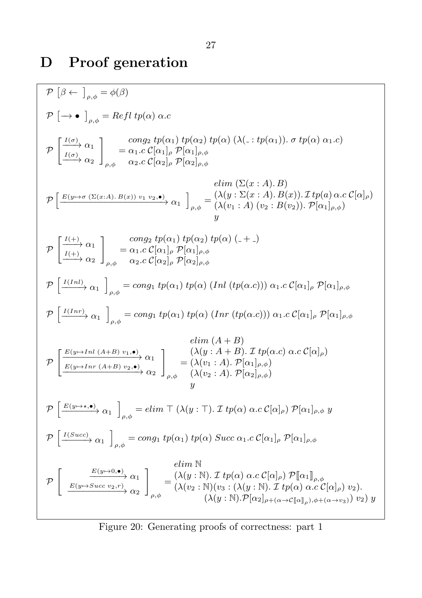<span id="page-26-0"></span>
$$
\begin{split}\n\mathcal{P} \left[ \beta \leftarrow \right]_{\rho,\phi} &= Refl \,tp(\alpha) \, \alpha.c \\
\mathcal{P} \left[ \rightarrow \bullet \right]_{\rho,\phi} &= Refl \,tp(\alpha) \, \alpha.c \\
\mathcal{P} \left[ \frac{I(\sigma)}{I(\sigma)} \, \alpha_1 \right]_{\rho,\phi} &= \alpha_1.c \, C[\alpha_1]_{\rho} \, \mathcal{P}[\alpha_1]_{\rho,\phi} \\
&= \alpha_1.c \, C[\alpha_2]_{\rho} \, \mathcal{P}[\alpha_1]_{\rho,\phi} \\
&= \alpha_1.c \, C[\alpha_2]_{\rho} \, \mathcal{P}[\alpha_2]_{\rho,\phi} \\
&= \lim_{\rho \to 0} \left( \sum(x:A).B \right) \\
&= \lim_{\rho \to 0} \left( \sum(x:A).B \right) \\
&= \lim_{\rho \to 0} \left( \sum(x:A).B \right) \\
&= \lim_{\rho \to 0} \left( \sum(x:A).B \right) \\
&= \lim_{\rho \to 0} \left( \sum(x:A).B \right) \\
&= \lim_{\rho \to 0} \left( \sum(x:A).B \right) \\
&= \lim_{\rho \to 0} \left( \sum(x:A).B \right) \\
&= \lim_{\rho \to 0} \left( \sum(x:A).B \right) \\
&= \lim_{\rho \to 0} \left( \sum(x:A).B \right) \\
&= \lim_{\rho \to 0} \left( \sum(x:A).B \right) \\
&= \lim_{\rho \to 0} \left( \sum(x:A).B \right) \\
&= \lim_{\rho \to 0} \left( \sum(x:A).B \right) \\
&= \lim_{\rho \to 0} \left( \sum(x:A).B \right) \\
&= \lim_{\rho \to 0} \left( \sum(x:A).B \right) \\
&= \lim_{\rho \to 0} \left( \sum(x:A).B \right) \\
&= \lim_{\rho \to 0} \left( \sum(x:A).B \right) \\
&= \lim_{\rho \to 0} \left( \sum(x:A).B \right) \\
&= \lim_{\rho \to 0} \left( \sum(x:A).B \right) \\
&= \lim_{\rho \to 0} \left( \sum(x,A).B \right) \\
&= \lim_{\rho \to 0} \left( \sum(x,A).B
$$